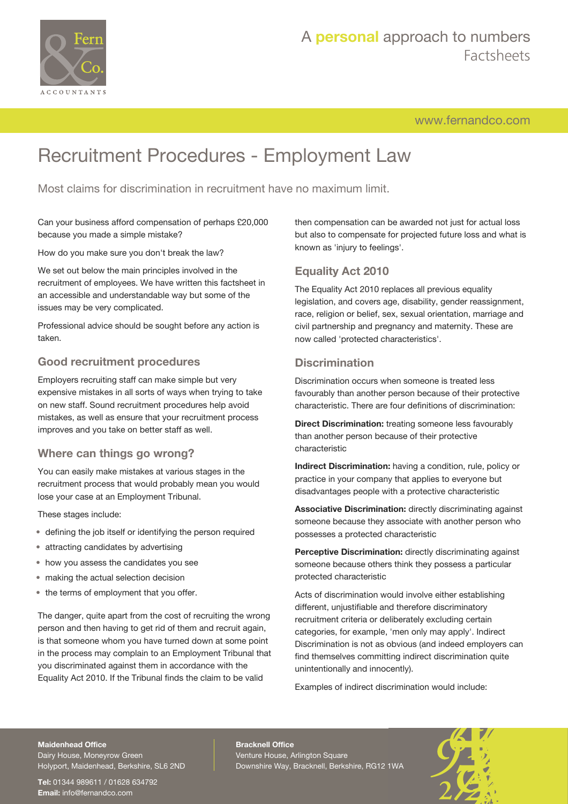

[www.fernandco.com](http://www.fernandco.com)

# Recruitment Procedures - Employment Law

Most claims for discrimination in recruitment have no maximum limit.

Can your business afford compensation of perhaps £20,000 because you made a simple mistake?

How do you make sure you don't break the law?

We set out below the main principles involved in the recruitment of employees. We have written this factsheet in an accessible and understandable way but some of the issues may be very complicated.

Professional advice should be sought before any action is taken.

### **Good recruitment procedures**

Employers recruiting staff can make simple but very expensive mistakes in all sorts of ways when trying to take on new staff. Sound recruitment procedures help avoid mistakes, as well as ensure that your recruitment process improves and you take on better staff as well.

### **Where can things go wrong?**

You can easily make mistakes at various stages in the recruitment process that would probably mean you would lose your case at an Employment Tribunal.

These stages include:

- defining the job itself or identifying the person required
- attracting candidates by advertising
- how you assess the candidates you see
- making the actual selection decision
- the terms of employment that you offer.

The danger, quite apart from the cost of recruiting the wrong person and then having to get rid of them and recruit again, is that someone whom you have turned down at some point in the process may complain to an Employment Tribunal that you discriminated against them in accordance with the Equality Act 2010. If the Tribunal finds the claim to be valid

then compensation can be awarded not just for actual loss but also to compensate for projected future loss and what is known as 'injury to feelings'.

### **Equality Act 2010**

The Equality Act 2010 replaces all previous equality legislation, and covers age, disability, gender reassignment, race, religion or belief, sex, sexual orientation, marriage and civil partnership and pregnancy and maternity. These are now called 'protected characteristics'.

### **Discrimination**

Discrimination occurs when someone is treated less favourably than another person because of their protective characteristic. There are four definitions of discrimination:

**Direct Discrimination:** treating someone less favourably than another person because of their protective characteristic

**Indirect Discrimination:** having a condition, rule, policy or practice in your company that applies to everyone but disadvantages people with a protective characteristic

**Associative Discrimination:** directly discriminating against someone because they associate with another person who possesses a protected characteristic

**Perceptive Discrimination:** directly discriminating against someone because others think they possess a particular protected characteristic

Acts of discrimination would involve either establishing different, unjustifiable and therefore discriminatory recruitment criteria or deliberately excluding certain categories, for example, 'men only may apply'. Indirect Discrimination is not as obvious (and indeed employers can find themselves committing indirect discrimination quite unintentionally and innocently).

Examples of indirect discrimination would include:

#### **Maidenhead Office**

Dairy House, Moneyrow Green Holyport, Maidenhead, Berkshire, SL6 2ND

**Tel:** 01344 989611 / 01628 634792 **Email:** [info@fernandco.com](mailto:info@fernandco.com)

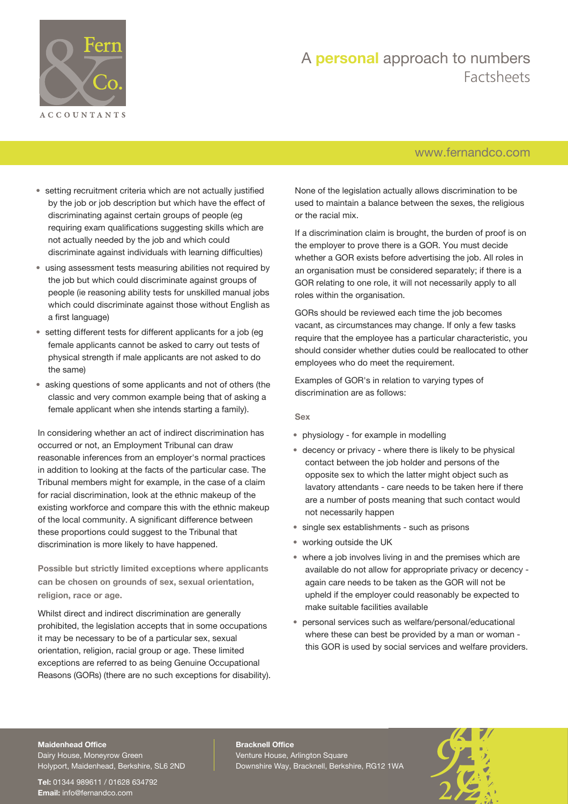

### [www.fernandco.com](http://www.fernandco.com)

- setting recruitment criteria which are not actually justified by the job or job description but which have the effect of discriminating against certain groups of people (eg requiring exam qualifications suggesting skills which are not actually needed by the job and which could discriminate against individuals with learning difficulties)
- using assessment tests measuring abilities not required by the job but which could discriminate against groups of people (ie reasoning ability tests for unskilled manual jobs which could discriminate against those without English as a first language)
- setting different tests for different applicants for a job (eg female applicants cannot be asked to carry out tests of physical strength if male applicants are not asked to do the same)
- asking questions of some applicants and not of others (the classic and very common example being that of asking a female applicant when she intends starting a family).

In considering whether an act of indirect discrimination has occurred or not, an Employment Tribunal can draw reasonable inferences from an employer's normal practices in addition to looking at the facts of the particular case. The Tribunal members might for example, in the case of a claim for racial discrimination, look at the ethnic makeup of the existing workforce and compare this with the ethnic makeup of the local community. A significant difference between these proportions could suggest to the Tribunal that discrimination is more likely to have happened.

**Possible but strictly limited exceptions where applicants can be chosen on grounds of sex, sexual orientation, religion, race or age.**

Whilst direct and indirect discrimination are generally prohibited, the legislation accepts that in some occupations it may be necessary to be of a particular sex, sexual orientation, religion, racial group or age. These limited exceptions are referred to as being Genuine Occupational Reasons (GORs) (there are no such exceptions for disability). None of the legislation actually allows discrimination to be used to maintain a balance between the sexes, the religious or the racial mix.

If a discrimination claim is brought, the burden of proof is on the employer to prove there is a GOR. You must decide whether a GOR exists before advertising the job. All roles in an organisation must be considered separately; if there is a GOR relating to one role, it will not necessarily apply to all roles within the organisation.

GORs should be reviewed each time the job becomes vacant, as circumstances may change. If only a few tasks require that the employee has a particular characteristic, you should consider whether duties could be reallocated to other employees who do meet the requirement.

Examples of GOR's in relation to varying types of discrimination are as follows:

**Sex**

- physiology for example in modelling
- decency or privacy where there is likely to be physical contact between the job holder and persons of the opposite sex to which the latter might object such as lavatory attendants - care needs to be taken here if there are a number of posts meaning that such contact would not necessarily happen
- single sex establishments such as prisons
- working outside the UK
- where a job involves living in and the premises which are available do not allow for appropriate privacy or decency again care needs to be taken as the GOR will not be upheld if the employer could reasonably be expected to make suitable facilities available
- personal services such as welfare/personal/educational where these can best be provided by a man or woman this GOR is used by social services and welfare providers.

#### **Maidenhead Office**

Dairy House, Moneyrow Green Holyport, Maidenhead, Berkshire, SL6 2ND

**Tel:** 01344 989611 / 01628 634792 **Email:** [info@fernandco.com](mailto:info@fernandco.com)

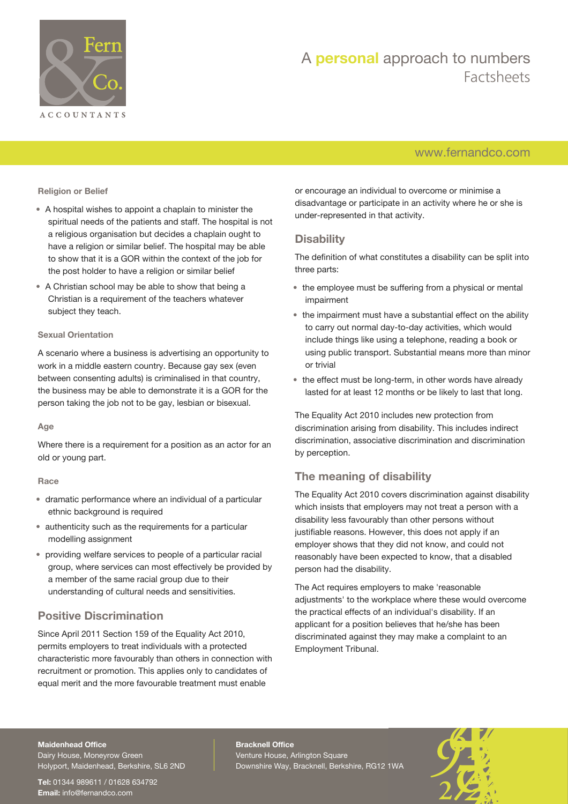

### [www.fernandco.com](http://www.fernandco.com)

**Religion or Belief**

- A hospital wishes to appoint a chaplain to minister the spiritual needs of the patients and staff. The hospital is not a religious organisation but decides a chaplain ought to have a religion or similar belief. The hospital may be able to show that it is a GOR within the context of the job for the post holder to have a religion or similar belief
- A Christian school may be able to show that being a Christian is a requirement of the teachers whatever subject they teach.

#### **Sexual Orientation**

A scenario where a business is advertising an opportunity to work in a middle eastern country. Because gay sex (even between consenting adults) is criminalised in that country, the business may be able to demonstrate it is a GOR for the person taking the job not to be gay, lesbian or bisexual.

#### **Age**

Where there is a requirement for a position as an actor for an old or young part.

#### **Race**

- dramatic performance where an individual of a particular ethnic background is required
- authenticity such as the requirements for a particular modelling assignment
- providing welfare services to people of a particular racial group, where services can most effectively be provided by a member of the same racial group due to their understanding of cultural needs and sensitivities.

### **Positive Discrimination**

Since April 2011 Section 159 of the Equality Act 2010, permits employers to treat individuals with a protected characteristic more favourably than others in connection with recruitment or promotion. This applies only to candidates of equal merit and the more favourable treatment must enable

or encourage an individual to overcome or minimise a disadvantage or participate in an activity where he or she is under-represented in that activity.

### **Disability**

The definition of what constitutes a disability can be split into three parts:

- the employee must be suffering from a physical or mental impairment
- the impairment must have a substantial effect on the ability to carry out normal day-to-day activities, which would include things like using a telephone, reading a book or using public transport. Substantial means more than minor or trivial
- the effect must be long-term, in other words have already lasted for at least 12 months or be likely to last that long.

The Equality Act 2010 includes new protection from discrimination arising from disability. This includes indirect discrimination, associative discrimination and discrimination by perception.

### **The meaning of disability**

The Equality Act 2010 covers discrimination against disability which insists that employers may not treat a person with a disability less favourably than other persons without justifiable reasons. However, this does not apply if an employer shows that they did not know, and could not reasonably have been expected to know, that a disabled person had the disability.

The Act requires employers to make 'reasonable adjustments' to the workplace where these would overcome the practical effects of an individual's disability. If an applicant for a position believes that he/she has been discriminated against they may make a complaint to an Employment Tribunal.

#### **Maidenhead Office**

Dairy House, Moneyrow Green Holyport, Maidenhead, Berkshire, SL6 2ND

**Tel:** 01344 989611 / 01628 634792 **Email:** [info@fernandco.com](mailto:info@fernandco.com)